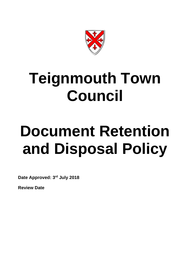

# **Teignmouth Town Council**

# **Document Retention and Disposal Policy**

**Date Approved: 3rd July 2018**

**Review Date**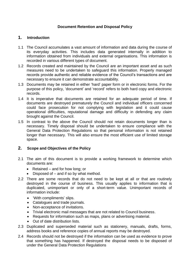## **Document Retention and Disposal Policy**

# **1. Introduction**

- 1.1 The Council accumulates a vast amount of information and data during the course of its everyday activities. This includes data generated internally in addition to information obtained from individuals and external organisations. This information is recorded in various different types of document.
- 1.2 Records created and maintained by the Council are an important asset and as such measures need to be undertaken to safeguard this information. Properly managed records provide authentic and reliable evidence of the Council's transactions and are necessary to ensure it can demonstrate accountability.
- 1.3 Documents may be retained in either 'hard' paper form or in electronic forms. For the purpose of this policy, 'document' and 'record' refers to both hard copy and electronic records.
- 1.4 It is imperative that documents are retained for an adequate period of time. If documents are destroyed prematurely the Council and individual officers concerned could face prosecution for not complying with legislation and it could cause operational difficulties, reputational damage and difficulty in defending any claim brought against the Council.
- 1.5 In contrast to the above the Council should not retain documents longer than is necessary. Timely disposal should be undertaken to ensure compliance with the General Data Protection Regulations so that personal information is not retained longer than necessary. This will also ensure the most efficient use of limited storage space.

### **2. Scope and Objectives of the Policy**

- 2.1 The aim of this document is to provide a working framework to determine which documents are:
	- Retained and for how long; or
	- Disposed of and if so by what method.
- 2.2 There are some records that do not need to be kept at all or that are routinely destroyed in the course of business. This usually applies to information that is duplicated, unimportant or only of a short-term value. Unimportant records of information include:
	- 'With compliments' slips.
	- Catalogues and trade journals.
	- Non-acceptance of invitations.
	- Trivial electronic mail messages that are not related to Council business.
	- Requests for information such as maps, plans or advertising material.
	- Out of date distribution lists.
- 2.3 Duplicated and superseded material such as stationery, manuals, drafts, forms, address books and reference copies of annual reports may be destroyed.
- 2.4 Records should not be destroyed if the information can be used as evidence to prove that something has happened. If destroyed the disposal needs to be disposed of under the General Data Protection Regulations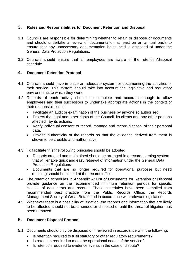## **3. Roles and Responsibilities for Document Retention and Disposal**

- 3.1 Councils are responsible for determining whether to retain or dispose of documents and should undertake a review of documentation at least on an annual basis to ensure that any unnecessary documentation being held is disposed of under the General Data Protection Regulations.
- 3.2 Councils should ensure that all employees are aware of the retention/disposal schedule.

# **4. Document Retention Protocol**

- 4.1 Councils should have in place an adequate system for documenting the activities of their service. This system should take into account the legislative and regulatory environments to which they work.
- 4.2 Records of each activity should be complete and accurate enough to allow employees and their successors to undertake appropriate actions in the context of their responsibilities to:
	- Facilitate an audit or examination of the business by anyone so authorised.
	- Protect the legal and other rights of the Council, its clients and any other persons affected by its actions.
	- Verify individual consent to record, manage and record disposal of their personal data.
	- Provide authenticity of the records so that the evidence derived from them is shown to be credible and authoritative.
- 4.3 To facilitate this the following principles should be adopted:
	- Records created and maintained should be arranged in a record-keeping system that will enable quick and easy retrieval of information under the General Data Protection Regulations
	- Documents that are no longer required for operational purposes but need retaining should be placed at the records office.
- 4.4 The retention schedules in Appendix A: List of Documents for Retention or Disposal provide guidance on the recommended minimum retention periods for specific classes of documents and records. These schedules have been compiled from recommended best practice from the Public Records Office, the Records Management Society of Great Britain and in accordance with relevant legislation.
- 4.5 Whenever there is a possibility of litigation, the records and information that are likely to be affected should not be amended or disposed of until the threat of litigation has been removed.

### **5. Document Disposal Protocol**

- 5.1 Documents should only be disposed of if reviewed in accordance with the following:
	- Is retention required to fulfil statutory or other requiatory requirements?
	- Is retention required to meet the operational needs of the service?
	- Is retention required to evidence events in the case of dispute?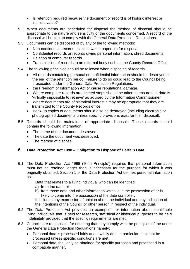- Is retention required because the document or record is of historic interest or intrinsic value?
- 5.2 When documents are scheduled for disposal the method of disposal should be appropriate to the nature and sensitivity of the documents concerned. A record of the disposal will be kept to comply with the General Data Protection Regulations.
- 5.3 Documents can be disposed of by any of the following methods:
	- Non-confidential records: place in waste paper bin for disposal.
	- Confidential records or records giving personal information: shred documents.
	- Deletion of computer records.
	- Transmission of records to an external body such as the County Records Office.
- 5.4 The following principles should be followed when disposing of records:
	- All records containing personal or confidential information should be destroyed at the end of the retention period. Failure to do so could lead to the Council being prosecuted under the General Data Protection Regulations.
	- the Freedom of Information Act or cause reputational damage.
	- Where computer records are deleted steps should be taken to ensure that data is 'virtually impossible to retrieve' as advised by the Information Commissioner.
	- Where documents are of historical interest it may be appropriate that they are transmitted to the County Records office.
	- Back-up copies of documents should also be destroyed (including electronic or photographed documents unless specific provisions exist for their disposal).
- 5.5 Records should be maintained of appropriate disposals. These records should contain the following information:
	- The name of the document destroyed.
	- The date the document was destroyed.
	- The method of disposal.

# **6. Data Protection Act 1998 – Obligation to Dispose of Certain Data**

6.1 The Data Protection Act 1998 ('Fifth Principle') requires that personal information must not be retained longer than is necessary for the purpose for which it was originally obtained. Section 1 of the Data Protection Act defines personal information as:

Data that relates to a living individual who can be identified:

- a) from the data, or
- b) from those data and other information which is in the possession of or is likely to come into the possession of the data controller.

It includes any expression of opinion about the individual and any indication of the intentions of the Council or other person in respect of the individual.

- 6.2 The Data Protection Act provides an exemption for information about identifiable living individuals that is held for research, statistical or historical purposes to be held indefinitely provided that the specific requirements are met.
- 6.3 Councils are responsible for ensuring that they comply with the principles of the under the General Data Protection Regulations namely:
	- Personal data is processed fairly and lawfully and, in particular, shall not be processed unless specific conditions are met.
	- Personal data shall only be obtained for specific purposes and processed in a compatible manner.